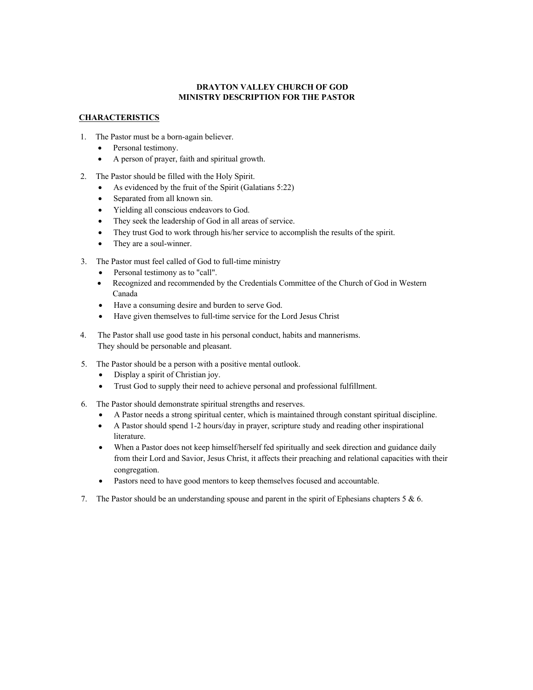## **DRAYTON VALLEY CHURCH OF GOD MINISTRY DESCRIPTION FOR THE PASTOR**

# **CHARACTERISTICS**

- 1. The Pastor must be a born-again believer.
	- Personal testimony.
	- A person of prayer, faith and spiritual growth.
- 2. The Pastor should be filled with the Holy Spirit.
	- As evidenced by the fruit of the Spirit (Galatians 5:22)
	- Separated from all known sin.
	- Yielding all conscious endeavors to God.
	- They seek the leadership of God in all areas of service.
	- They trust God to work through his/her service to accomplish the results of the spirit.
	- They are a soul-winner.
- 3. The Pastor must feel called of God to full-time ministry
	- Personal testimony as to "call".
	- Recognized and recommended by the Credentials Committee of the Church of God in Western Canada
	- Have a consuming desire and burden to serve God.
	- Have given themselves to full-time service for the Lord Jesus Christ
- 4. The Pastor shall use good taste in his personal conduct, habits and mannerisms. They should be personable and pleasant.
- 5. The Pastor should be a person with a positive mental outlook.
	- Display a spirit of Christian joy.
	- Trust God to supply their need to achieve personal and professional fulfillment.
- 6. The Pastor should demonstrate spiritual strengths and reserves.
	- A Pastor needs a strong spiritual center, which is maintained through constant spiritual discipline.
	- A Pastor should spend 1-2 hours/day in prayer, scripture study and reading other inspirational literature.
	- When a Pastor does not keep himself/herself fed spiritually and seek direction and guidance daily from their Lord and Savior, Jesus Christ, it affects their preaching and relational capacities with their congregation.
	- Pastors need to have good mentors to keep themselves focused and accountable.
- 7. The Pastor should be an understanding spouse and parent in the spirit of Ephesians chapters 5 & 6.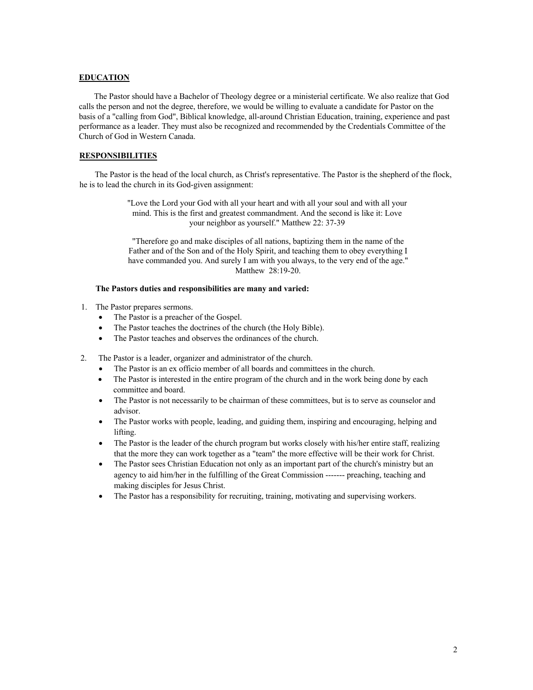#### **EDUCATION**

The Pastor should have a Bachelor of Theology degree or a ministerial certificate. We also realize that God calls the person and not the degree, therefore, we would be willing to evaluate a candidate for Pastor on the basis of a "calling from God", Biblical knowledge, all-around Christian Education, training, experience and past performance as a leader. They must also be recognized and recommended by the Credentials Committee of the Church of God in Western Canada.

# **RESPONSIBILITIES**

The Pastor is the head of the local church, as Christ's representative. The Pastor is the shepherd of the flock, he is to lead the church in its God-given assignment:

> "Love the Lord your God with all your heart and with all your soul and with all your mind. This is the first and greatest commandment. And the second is like it: Love your neighbor as yourself." Matthew 22: 37-39

> "Therefore go and make disciples of all nations, baptizing them in the name of the Father and of the Son and of the Holy Spirit, and teaching them to obey everything I have commanded you. And surely I am with you always, to the very end of the age." Matthew 28:19-20.

## **The Pastors duties and responsibilities are many and varied:**

- 1. The Pastor prepares sermons.
	- The Pastor is a preacher of the Gospel.
	- The Pastor teaches the doctrines of the church (the Holy Bible).
	- The Pastor teaches and observes the ordinances of the church.
- 2. The Pastor is a leader, organizer and administrator of the church.
	- The Pastor is an ex officio member of all boards and committees in the church.
	- The Pastor is interested in the entire program of the church and in the work being done by each committee and board.
	- The Pastor is not necessarily to be chairman of these committees, but is to serve as counselor and advisor.
	- The Pastor works with people, leading, and guiding them, inspiring and encouraging, helping and lifting.
	- The Pastor is the leader of the church program but works closely with his/her entire staff, realizing that the more they can work together as a "team" the more effective will be their work for Christ.
	- The Pastor sees Christian Education not only as an important part of the church's ministry but an agency to aid him/her in the fulfilling of the Great Commission ------- preaching, teaching and making disciples for Jesus Christ.
	- The Pastor has a responsibility for recruiting, training, motivating and supervising workers.